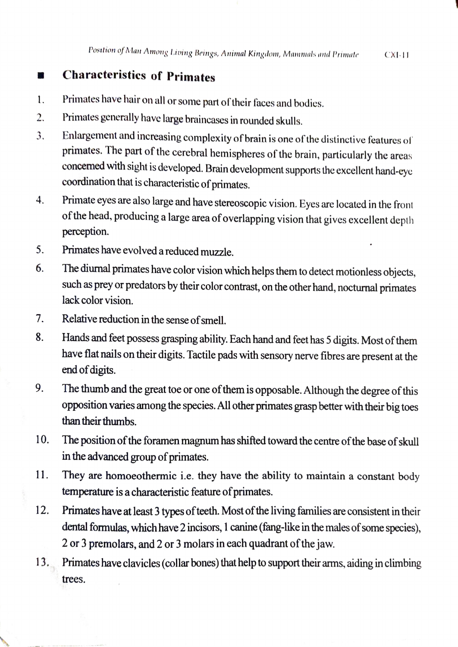## Characteristics of Primates  $\mathcal{L}$

- 1. Primates have hair on all or some partof their faces and bodics.
- Primates generally have large braincases in rounded skulls. 2.
- Enlargement and increasing complexity of brain is one of the distinctive features of primates. The part of the cerebral hemispheres of the brain, particularly the areas concemed with sight is developed. Brain development supports the excellent hand-cye coordination that is characteristic of primates. 3.
- 4. Primate eyes are also large and have stereoscopic vision. Eyes are located in the front of the head, producing a large area of overlapping vision that gives excellent depth perception.
- S. Primates have evolved a reduced muzzle.
- The diurnal primates have color vision which helps them to detect motionless objects, 6. such as prey or predators by their color contrast, on the other hand, nocturnal primates lack color vision.
- 7. Relative reduction in the sense of smell. 7.
- Hands and feet possess grasping ability. Each hand and feet has 5 digits. Most of them have flat nails on their digits. Tactile pads with sensory nerve fibres are present at the 8. end of digits.
- 9. The thumb and the great toe or one of them is opposable. Although the degree of this opposition varies among the species. All other primates grasp better with their big toes than their thumbs.
- 10. The positionof the foramen magnum has shifted toward the centre of the base of skull in the advanced group of primates.
- They are homoeothermic i.e. they have the ability to maintain a constant body temperature is a characteristic feature of primates. 11.
- 12. Primates have at least 3 types of teeth. Most of the living families are consistent in their dental formulas, which have 2 incisors, 1 canine (fang-like in the males of some species), 2 or 3 premolars, and 2 or 3 molars in each quadrant of the jaw.
- 13. Primates have clavicles (collar bones) that help to support their amms, aiding in climbing trees.